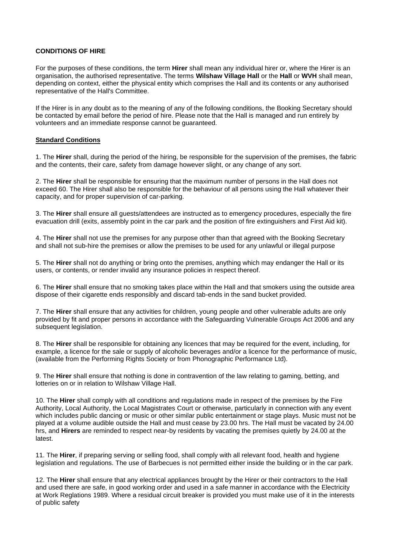## **CONDITIONS OF HIRE**

For the purposes of these conditions, the term **Hirer** shall mean any individual hirer or, where the Hirer is an organisation, the authorised representative. The terms **Wilshaw Village Hall** or the **Hall** or **WVH** shall mean, depending on context, either the physical entity which comprises the Hall and its contents or any authorised representative of the Hall's Committee.

If the Hirer is in any doubt as to the meaning of any of the following conditions, the Booking Secretary should be contacted by email before the period of hire. Please note that the Hall is managed and run entirely by volunteers and an immediate response cannot be guaranteed.

## **Standard Conditions**

1. The **Hirer** shall, during the period of the hiring, be responsible for the supervision of the premises, the fabric and the contents, their care, safety from damage however slight, or any change of any sort.

2. The **Hirer** shall be responsible for ensuring that the maximum number of persons in the Hall does not exceed 60. The Hirer shall also be responsible for the behaviour of all persons using the Hall whatever their capacity, and for proper supervision of car-parking.

3. The **Hirer** shall ensure all guests/attendees are instructed as to emergency procedures, especially the fire evacuation drill (exits, assembly point in the car park and the position of fire extinguishers and First Aid kit).

4. The **Hirer** shall not use the premises for any purpose other than that agreed with the Booking Secretary and shall not sub-hire the premises or allow the premises to be used for any unlawful or illegal purpose

5. The **Hirer** shall not do anything or bring onto the premises, anything which may endanger the Hall or its users, or contents, or render invalid any insurance policies in respect thereof.

6. The **Hirer** shall ensure that no smoking takes place within the Hall and that smokers using the outside area dispose of their cigarette ends responsibly and discard tab-ends in the sand bucket provided.

7. The **Hirer** shall ensure that any activities for children, young people and other vulnerable adults are only provided by fit and proper persons in accordance with the Safeguarding Vulnerable Groups Act 2006 and any subsequent legislation.

8. The **Hirer** shall be responsible for obtaining any licences that may be required for the event, including, for example, a licence for the sale or supply of alcoholic beverages and/or a licence for the performance of music, (available from the Performing Rights Society or from Phonographic Performance Ltd).

9. The **Hirer** shall ensure that nothing is done in contravention of the law relating to gaming, betting, and lotteries on or in relation to Wilshaw Village Hall.

10. The **Hirer** shall comply with all conditions and regulations made in respect of the premises by the Fire Authority, Local Authority, the Local Magistrates Court or otherwise, particularly in connection with any event which includes public dancing or music or other similar public entertainment or stage plays. Music must not be played at a volume audible outside the Hall and must cease by 23.00 hrs. The Hall must be vacated by 24.00 hrs, and **Hirers** are reminded to respect near-by residents by vacating the premises quietly by 24.00 at the latest.

11. The **Hirer**, if preparing serving or selling food, shall comply with all relevant food, health and hygiene legislation and regulations. The use of Barbecues is not permitted either inside the building or in the car park.

12. The **Hirer** shall ensure that any electrical appliances brought by the Hirer or their contractors to the Hall and used there are safe, in good working order and used in a safe manner in accordance with the Electricity at Work Reglations 1989. Where a residual circuit breaker is provided you must make use of it in the interests of public safety